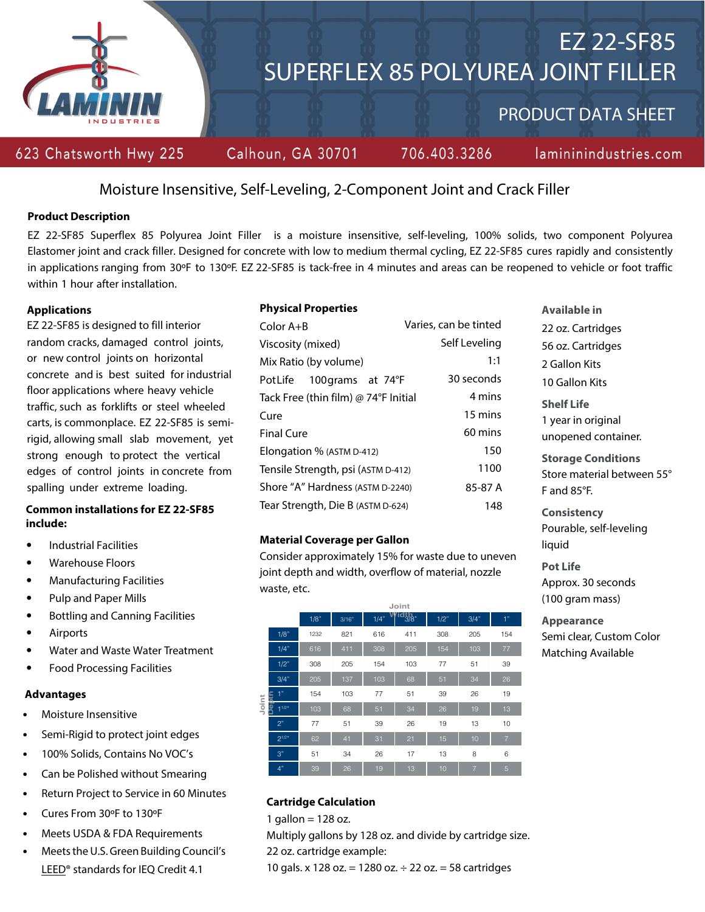

# Moisture Insensitive, Self-Leveling, 2-Component Joint and Crack Filler

### **Product Description**

EZ 22-SF85 Superflex 85 Polyurea Joint Filler is a moisture insensitive, self-leveling, 100% solids, two component Polyurea Elastomer joint and crack filler. Designed for concrete with low to medium thermal cycling, EZ 22-SF85 cures rapidly and consistently in applications ranging from 30ºF to 130ºF. EZ 22-SF85 is tack-free in 4 minutes and areas can be reopened to vehicle or foot traffic within 1 hour after installation.

### **Applications**

EZ 22-SF85 is designed to fill interior random cracks, damaged control joints, or new control joints on horizontal concrete and is best suited for industrial floor applications where heavy vehicle traffic, such as forklifts or steel wheeled carts, is commonplace. EZ 22-SF85 is semirigid, allowing small slab movement, yet strong enough to protect the vertical edges of control joints in concrete from spalling under extreme loading.

# **Common installations for EZ 22-SF85 include:**

- Industrial Facilities
- Warehouse Floors
- Manufacturing Facilities
- Pulp and Paper Mills
- Bottling and Canning Facilities
- Airports
- Water and Waste Water Treatment
- Food Processing Facilities

### **Advantages**

- Moisture Insensitive
- Semi-Rigid to protect joint edges
- 100% Solids, Contains No VOC's
- Can be Polished without Smearing
- Return Project to Service in 60 Minutes
- Cures From 30ºF to 130ºF
- Meets USDA & FDA Requirements
- Meets the U.S.Green Building Council's LEED® standards for IEQ Credit 4.1

### **Physical Properties**

| Color $A+B$                          | Varies, can be tinted |
|--------------------------------------|-----------------------|
| Viscosity (mixed)                    | Self Leveling         |
| Mix Ratio (by volume)                | 1:1                   |
| 100 grams at 74°F<br>PotLife         | 30 seconds            |
| Tack Free (thin film) @ 74°F Initial | 4 mins                |
| Cure                                 | 15 mins               |
| <b>Final Cure</b>                    | 60 mins               |
| Elongation % (ASTM D-412)            | 150                   |
| Tensile Strength, psi (ASTM D-412)   | 1100                  |
| Shore "A" Hardness (ASTM D-2240)     | 85-87 A               |
| Tear Strength, Die B (ASTM D-624)    | 148                   |

### **Material Coverage per Gallon**

Consider approximately 15% for waste due to uneven joint depth and wi[dth, overflow of material, nozzle](http://www.usgbc.org/LEED)  waste, et[c.](http://www.usgbc.org/LEED)



### **Cartridge Calculation**

1 gallon  $= 128$  oz.

Multiply gallons by 128 oz. and divide by cartridge size. 22 oz. cartridge example:

10 gals. x 128 oz. = 1280 oz. ÷ 22 oz. = 58 cartridges

# **Available in** 22 oz. Cartridges

56 oz. Cartridges 2 Gallon Kits 10 Gallon Kits

**Shelf Life**  1 year in original unopened container.

**Storage Conditions** Store material between 55° F and 85°F.

**Consistency** Pourable, self-leveling liquid

**Pot Life** Approx. 30 seconds (100 gram mass)

**Appearance** Semi clear, Custom Color Matching Available